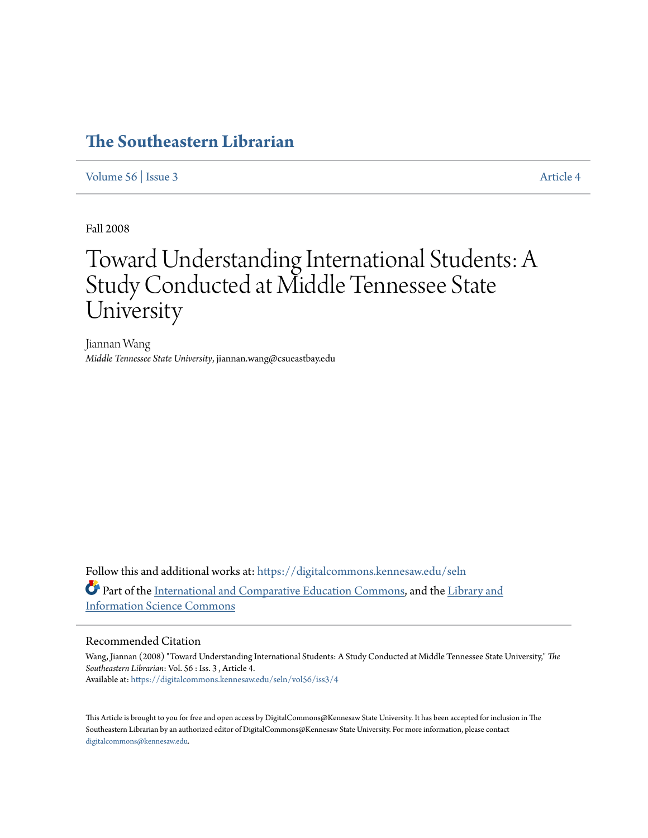# **[The Southeastern Librarian](https://digitalcommons.kennesaw.edu/seln?utm_source=digitalcommons.kennesaw.edu%2Fseln%2Fvol56%2Fiss3%2F4&utm_medium=PDF&utm_campaign=PDFCoverPages)**

[Volume 56](https://digitalcommons.kennesaw.edu/seln/vol56?utm_source=digitalcommons.kennesaw.edu%2Fseln%2Fvol56%2Fiss3%2F4&utm_medium=PDF&utm_campaign=PDFCoverPages) | [Issue 3](https://digitalcommons.kennesaw.edu/seln/vol56/iss3?utm_source=digitalcommons.kennesaw.edu%2Fseln%2Fvol56%2Fiss3%2F4&utm_medium=PDF&utm_campaign=PDFCoverPages) [Article 4](https://digitalcommons.kennesaw.edu/seln/vol56/iss3/4?utm_source=digitalcommons.kennesaw.edu%2Fseln%2Fvol56%2Fiss3%2F4&utm_medium=PDF&utm_campaign=PDFCoverPages)

Fall 2008

# Toward Understanding International Students: A Study Conducted at Middle Tennessee State University

Jiannan Wang *Middle Tennessee State University*, jiannan.wang@csueastbay.edu

Follow this and additional works at: [https://digitalcommons.kennesaw.edu/seln](https://digitalcommons.kennesaw.edu/seln?utm_source=digitalcommons.kennesaw.edu%2Fseln%2Fvol56%2Fiss3%2F4&utm_medium=PDF&utm_campaign=PDFCoverPages) Part of the [International and Comparative Education Commons,](http://network.bepress.com/hgg/discipline/797?utm_source=digitalcommons.kennesaw.edu%2Fseln%2Fvol56%2Fiss3%2F4&utm_medium=PDF&utm_campaign=PDFCoverPages) and the [Library and](http://network.bepress.com/hgg/discipline/1018?utm_source=digitalcommons.kennesaw.edu%2Fseln%2Fvol56%2Fiss3%2F4&utm_medium=PDF&utm_campaign=PDFCoverPages) [Information Science Commons](http://network.bepress.com/hgg/discipline/1018?utm_source=digitalcommons.kennesaw.edu%2Fseln%2Fvol56%2Fiss3%2F4&utm_medium=PDF&utm_campaign=PDFCoverPages)

#### Recommended Citation

Wang, Jiannan (2008) "Toward Understanding International Students: A Study Conducted at Middle Tennessee State University," *The Southeastern Librarian*: Vol. 56 : Iss. 3 , Article 4. Available at: [https://digitalcommons.kennesaw.edu/seln/vol56/iss3/4](https://digitalcommons.kennesaw.edu/seln/vol56/iss3/4?utm_source=digitalcommons.kennesaw.edu%2Fseln%2Fvol56%2Fiss3%2F4&utm_medium=PDF&utm_campaign=PDFCoverPages)

This Article is brought to you for free and open access by DigitalCommons@Kennesaw State University. It has been accepted for inclusion in The Southeastern Librarian by an authorized editor of DigitalCommons@Kennesaw State University. For more information, please contact [digitalcommons@kennesaw.edu.](mailto:digitalcommons@kennesaw.edu)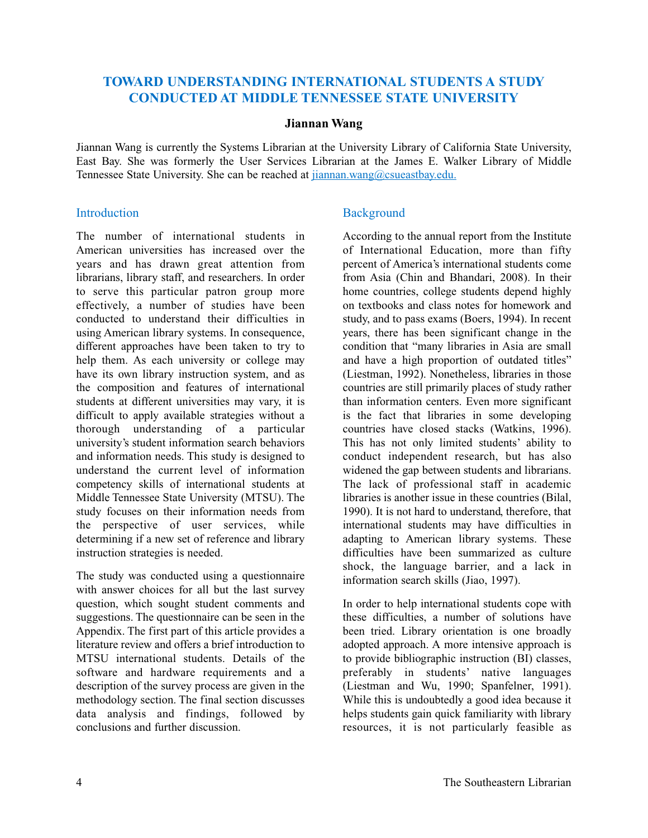# **TOWARD UNDERSTANDING INTERNATIONAL STUDENTS A STUDY CONDUCTED AT MIDDLE TENNESSEE STATE UNIVERSITY**

#### **Jiannan Wang**

Jiannan Wang is currently the Systems Librarian at the University Library of California State University, East Bay. She was formerly the User Services Librarian at the James E. Walker Library of Middle Tennessee State University. She can be reached at jiannan.wang@csueastbay.edu.

### **Introduction**

The number of international students in American universities has increased over the years and has drawn great attention from librarians, library staff, and researchers. In order to serve this particular patron group more effectively, a number of studies have been conducted to understand their difficulties in using American library systems. In consequence, different approaches have been taken to try to help them. As each university or college may have its own library instruction system, and as the composition and features of international students at different universities may vary, it is difficult to apply available strategies without a thorough understanding of a particular university's student information search behaviors and information needs. This study is designed to understand the current level of information competency skills of international students at Middle Tennessee State University (MTSU). The study focuses on their information needs from the perspective of user services, while determining if a new set of reference and library instruction strategies is needed.

The study was conducted using a questionnaire with answer choices for all but the last survey question, which sought student comments and suggestions. The questionnaire can be seen in the Appendix. The first part of this article provides a literature review and offers a brief introduction to MTSU international students. Details of the software and hardware requirements and a description of the survey process are given in the methodology section. The final section discusses data analysis and findings, followed by conclusions and further discussion.

# **Background**

According to the annual report from the Institute of International Education, more than fifty percent of America's international students come from Asia (Chin and Bhandari, 2008). In their home countries, college students depend highly on textbooks and class notes for homework and study, and to pass exams (Boers, 1994). In recent years, there has been significant change in the condition that "many libraries in Asia are small and have a high proportion of outdated titles" (Liestman, 1992). Nonetheless, libraries in those countries are still primarily places of study rather than information centers. Even more significant is the fact that libraries in some developing countries have closed stacks (Watkins, 1996). This has not only limited students' ability to conduct independent research, but has also widened the gap between students and librarians. The lack of professional staff in academic libraries is another issue in these countries (Bilal, 1990). It is not hard to understand, therefore, that international students may have difficulties in adapting to American library systems. These difficulties have been summarized as culture shock, the language barrier, and a lack in information search skills (Jiao, 1997).

In order to help international students cope with these difficulties, a number of solutions have been tried. Library orientation is one broadly adopted approach. A more intensive approach is to provide bibliographic instruction (BI) classes, preferably in students' native languages (Liestman and Wu, 1990; Spanfelner, 1991). While this is undoubtedly a good idea because it helps students gain quick familiarity with library resources, it is not particularly feasible as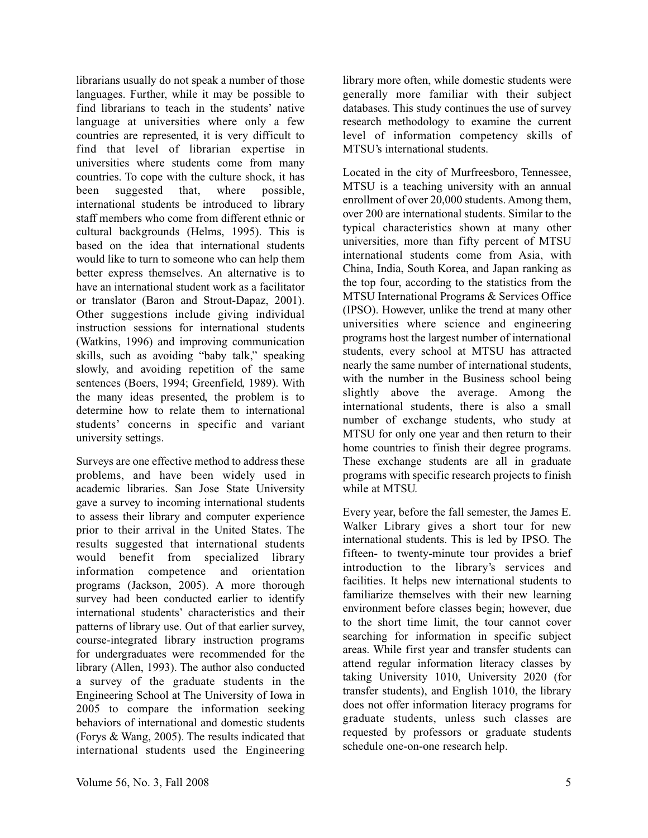librarians usually do not speak a number of those languages. Further, while it may be possible to find librarians to teach in the students' native language at universities where only a few countries are represented, it is very difficult to find that level of librarian expertise in universities where students come from many countries. To cope with the culture shock, it has been suggested that, where possible, international students be introduced to library staff members who come from different ethnic or cultural backgrounds (Helms, 1995). This is based on the idea that international students would like to turn to someone who can help them better express themselves. An alternative is to have an international student work as a facilitator or translator (Baron and Strout-Dapaz, 2001). Other suggestions include giving individual instruction sessions for international students (Watkins, 1996) and improving communication skills, such as avoiding "baby talk," speaking slowly, and avoiding repetition of the same sentences (Boers, 1994; Greenfield, 1989). With the many ideas presented, the problem is to determine how to relate them to international students' concerns in specific and variant university settings.

Surveys are one effective method to address these problems, and have been widely used in academic libraries. San Jose State University gave a survey to incoming international students to assess their library and computer experience prior to their arrival in the United States. The results suggested that international students would benefit from specialized library information competence and orientation programs (Jackson, 2005). A more thorough survey had been conducted earlier to identify international students' characteristics and their patterns of library use. Out of that earlier survey, course-integrated library instruction programs for undergraduates were recommended for the library (Allen, 1993). The author also conducted a survey of the graduate students in the Engineering School at The University of Iowa in 2005 to compare the information seeking behaviors of international and domestic students (Forys & Wang, 2005). The results indicated that international students used the Engineering

library more often, while domestic students were generally more familiar with their subject databases. This study continues the use of survey research methodology to examine the current level of information competency skills of MTSU's international students.

Located in the city of Murfreesboro, Tennessee, MTSU is a teaching university with an annual enrollment of over 20,000 students. Among them, over 200 are international students. Similar to the typical characteristics shown at many other universities, more than fifty percent of MTSU international students come from Asia, with China, India, South Korea, and Japan ranking as the top four, according to the statistics from the MTSU International Programs & Services Office (IPSO). However, unlike the trend at many other universities where science and engineering programs host the largest number of international students, every school at MTSU has attracted nearly the same number of international students, with the number in the Business school being slightly above the average. Among the international students, there is also a small number of exchange students, who study at MTSU for only one year and then return to their home countries to finish their degree programs. These exchange students are all in graduate programs with specific research projects to finish while at MTSU.

Every year, before the fall semester, the James E. Walker Library gives a short tour for new international students. This is led by IPSO. The fifteen- to twenty-minute tour provides a brief introduction to the library's services and facilities. It helps new international students to familiarize themselves with their new learning environment before classes begin; however, due to the short time limit, the tour cannot cover searching for information in specific subject areas. While first year and transfer students can attend regular information literacy classes by taking University 1010, University 2020 (for transfer students), and English 1010, the library does not offer information literacy programs for graduate students, unless such classes are requested by professors or graduate students schedule one-on-one research help.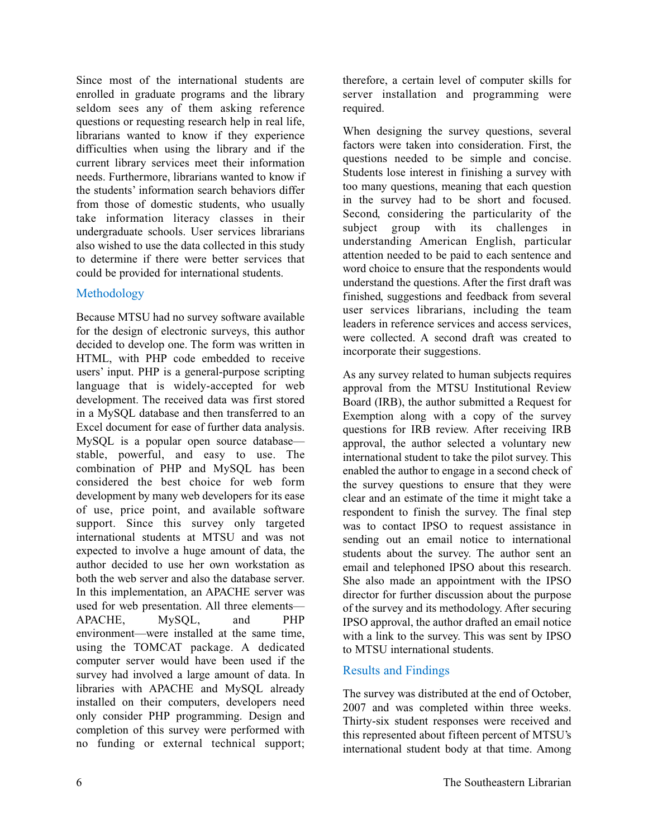Since most of the international students are enrolled in graduate programs and the library seldom sees any of them asking reference questions or requesting research help in real life, librarians wanted to know if they experience difficulties when using the library and if the current library services meet their information needs. Furthermore, librarians wanted to know if the students' information search behaviors differ from those of domestic students, who usually take information literacy classes in their undergraduate schools. User services librarians also wished to use the data collected in this study to determine if there were better services that could be provided for international students.

## Methodology

Because MTSU had no survey software available for the design of electronic surveys, this author decided to develop one. The form was written in HTML, with PHP code embedded to receive users' input. PHP is a general-purpose scripting language that is widely-accepted for web development. The received data was first stored in a MySQL database and then transferred to an Excel document for ease of further data analysis. MySQL is a popular open source database stable, powerful, and easy to use. The combination of PHP and MySQL has been considered the best choice for web form development by many web developers for its ease of use, price point, and available software support. Since this survey only targeted international students at MTSU and was not expected to involve a huge amount of data, the author decided to use her own workstation as both the web server and also the database server. In this implementation, an APACHE server was used for web presentation. All three elements— APACHE, MySQL, and PHP environment—were installed at the same time, using the TOMCAT package. A dedicated computer server would have been used if the survey had involved a large amount of data. In libraries with APACHE and MySQL already installed on their computers, developers need only consider PHP programming. Design and completion of this survey were performed with no funding or external technical support;

therefore, a certain level of computer skills for server installation and programming were required.

When designing the survey questions, several factors were taken into consideration. First, the questions needed to be simple and concise. Students lose interest in finishing a survey with too many questions, meaning that each question in the survey had to be short and focused. Second, considering the particularity of the subject group with its challenges in understanding American English, particular attention needed to be paid to each sentence and word choice to ensure that the respondents would understand the questions. After the first draft was finished, suggestions and feedback from several user services librarians, including the team leaders in reference services and access services, were collected. A second draft was created to incorporate their suggestions.

As any survey related to human subjects requires approval from the MTSU Institutional Review Board (IRB), the author submitted a Request for Exemption along with a copy of the survey questions for IRB review. After receiving IRB approval, the author selected a voluntary new international student to take the pilot survey. This enabled the author to engage in a second check of the survey questions to ensure that they were clear and an estimate of the time it might take a respondent to finish the survey. The final step was to contact IPSO to request assistance in sending out an email notice to international students about the survey. The author sent an email and telephoned IPSO about this research. She also made an appointment with the IPSO director for further discussion about the purpose of the survey and its methodology. After securing IPSO approval, the author drafted an email notice with a link to the survey. This was sent by IPSO to MTSU international students.

# Results and Findings

The survey was distributed at the end of October, 2007 and was completed within three weeks. Thirty-six student responses were received and this represented about fifteen percent of MTSU's international student body at that time. Among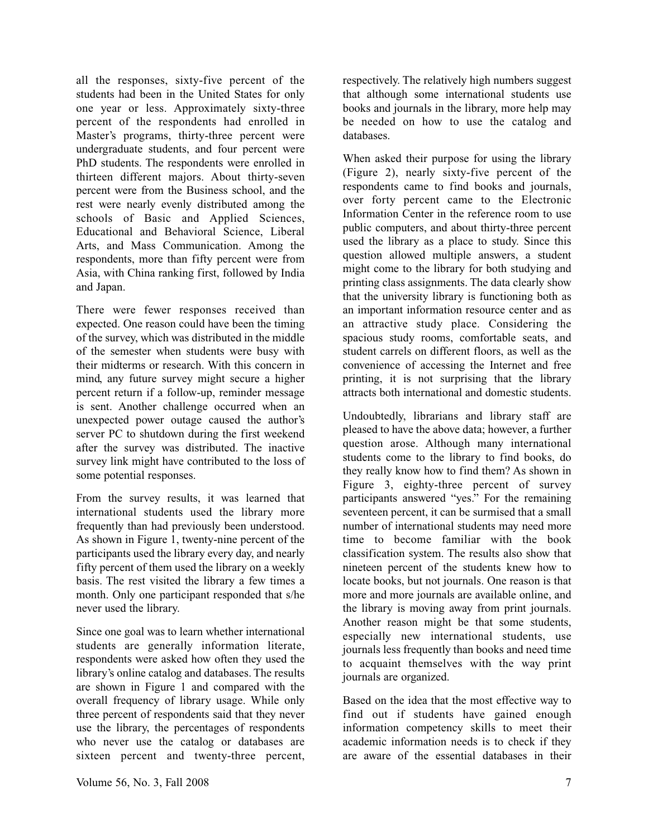all the responses, sixty-five percent of the students had been in the United States for only one year or less. Approximately sixty-three percent of the respondents had enrolled in Master's programs, thirty-three percent were undergraduate students, and four percent were PhD students. The respondents were enrolled in thirteen different majors. About thirty-seven percent were from the Business school, and the rest were nearly evenly distributed among the schools of Basic and Applied Sciences, Educational and Behavioral Science, Liberal Arts, and Mass Communication. Among the respondents, more than fifty percent were from Asia, with China ranking first, followed by India and Japan.

There were fewer responses received than expected. One reason could have been the timing of the survey, which was distributed in the middle of the semester when students were busy with their midterms or research. With this concern in mind, any future survey might secure a higher percent return if a follow-up, reminder message is sent. Another challenge occurred when an unexpected power outage caused the author's server PC to shutdown during the first weekend after the survey was distributed. The inactive survey link might have contributed to the loss of some potential responses.

From the survey results, it was learned that international students used the library more frequently than had previously been understood. As shown in Figure 1, twenty-nine percent of the participants used the library every day, and nearly fifty percent of them used the library on a weekly basis. The rest visited the library a few times a month. Only one participant responded that s/he never used the library.

Since one goal was to learn whether international students are generally information literate, respondents were asked how often they used the library's online catalog and databases. The results are shown in Figure 1 and compared with the overall frequency of library usage. While only three percent of respondents said that they never use the library, the percentages of respondents who never use the catalog or databases are sixteen percent and twenty-three percent,

respectively. The relatively high numbers suggest that although some international students use books and journals in the library, more help may be needed on how to use the catalog and databases.

When asked their purpose for using the library (Figure 2), nearly sixty-five percent of the respondents came to find books and journals, over forty percent came to the Electronic Information Center in the reference room to use public computers, and about thirty-three percent used the library as a place to study. Since this question allowed multiple answers, a student might come to the library for both studying and printing class assignments. The data clearly show that the university library is functioning both as an important information resource center and as an attractive study place. Considering the spacious study rooms, comfortable seats, and student carrels on different floors, as well as the convenience of accessing the Internet and free printing, it is not surprising that the library attracts both international and domestic students.

Undoubtedly, librarians and library staff are pleased to have the above data; however, a further question arose. Although many international students come to the library to find books, do they really know how to find them? As shown in Figure 3, eighty-three percent of survey participants answered "yes." For the remaining seventeen percent, it can be surmised that a small number of international students may need more time to become familiar with the book classification system. The results also show that nineteen percent of the students knew how to locate books, but not journals. One reason is that more and more journals are available online, and the library is moving away from print journals. Another reason might be that some students, especially new international students, use journals less frequently than books and need time to acquaint themselves with the way print journals are organized.

Based on the idea that the most effective way to find out if students have gained enough information competency skills to meet their academic information needs is to check if they are aware of the essential databases in their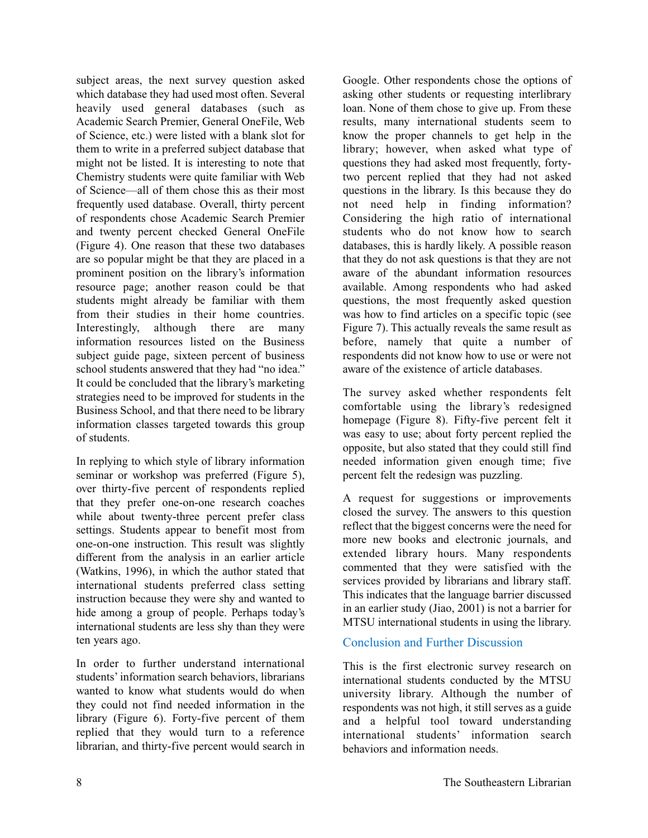subject areas, the next survey question asked which database they had used most often. Several heavily used general databases (such as Academic Search Premier, General OneFile, Web of Science, etc.) were listed with a blank slot for them to write in a preferred subject database that might not be listed. It is interesting to note that Chemistry students were quite familiar with Web of Science—all of them chose this as their most frequently used database. Overall, thirty percent of respondents chose Academic Search Premier and twenty percent checked General OneFile (Figure 4). One reason that these two databases are so popular might be that they are placed in a prominent position on the library's information resource page; another reason could be that students might already be familiar with them from their studies in their home countries. Interestingly, although there are many information resources listed on the Business subject guide page, sixteen percent of business school students answered that they had "no idea." It could be concluded that the library's marketing strategies need to be improved for students in the Business School, and that there need to be library information classes targeted towards this group of students.

In replying to which style of library information seminar or workshop was preferred (Figure 5), over thirty-five percent of respondents replied that they prefer one-on-one research coaches while about twenty-three percent prefer class settings. Students appear to benefit most from one-on-one instruction. This result was slightly different from the analysis in an earlier article (Watkins, 1996), in which the author stated that international students preferred class setting instruction because they were shy and wanted to hide among a group of people. Perhaps today's international students are less shy than they were ten years ago.

In order to further understand international students' information search behaviors, librarians wanted to know what students would do when they could not find needed information in the library (Figure 6). Forty-five percent of them replied that they would turn to a reference librarian, and thirty-five percent would search in

Google. Other respondents chose the options of asking other students or requesting interlibrary loan. None of them chose to give up. From these results, many international students seem to know the proper channels to get help in the library; however, when asked what type of questions they had asked most frequently, fortytwo percent replied that they had not asked questions in the library. Is this because they do not need help in finding information? Considering the high ratio of international students who do not know how to search databases, this is hardly likely. A possible reason that they do not ask questions is that they are not aware of the abundant information resources available. Among respondents who had asked questions, the most frequently asked question was how to find articles on a specific topic (see Figure 7). This actually reveals the same result as before, namely that quite a number of respondents did not know how to use or were not aware of the existence of article databases.

The survey asked whether respondents felt comfortable using the library's redesigned homepage (Figure 8). Fifty-five percent felt it was easy to use; about forty percent replied the opposite, but also stated that they could still find needed information given enough time; five percent felt the redesign was puzzling.

A request for suggestions or improvements closed the survey. The answers to this question reflect that the biggest concerns were the need for more new books and electronic journals, and extended library hours. Many respondents commented that they were satisfied with the services provided by librarians and library staff. This indicates that the language barrier discussed in an earlier study (Jiao, 2001) is not a barrier for MTSU international students in using the library.

### Conclusion and Further Discussion

This is the first electronic survey research on international students conducted by the MTSU university library. Although the number of respondents was not high, it still serves as a guide and a helpful tool toward understanding international students' information search behaviors and information needs.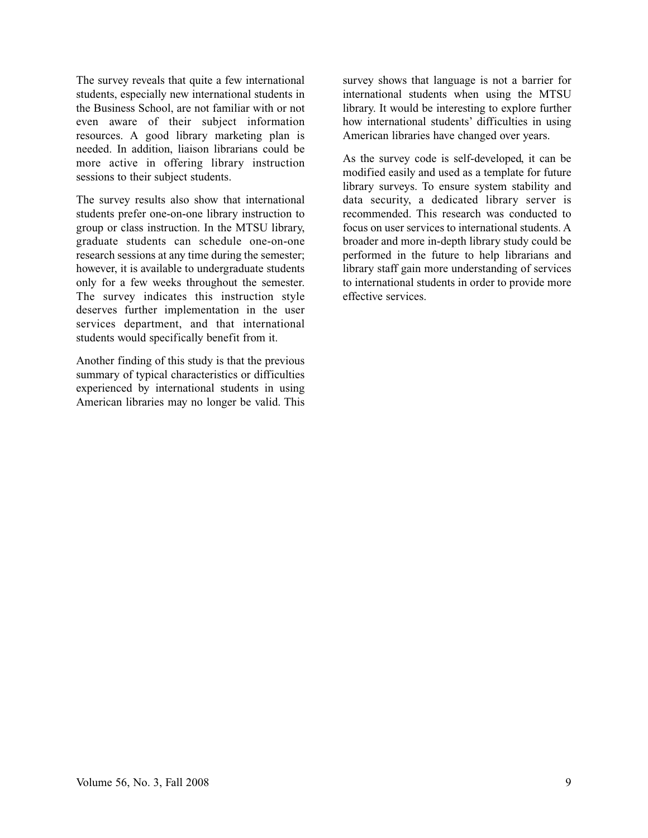The survey reveals that quite a few international students, especially new international students in the Business School, are not familiar with or not even aware of their subject information resources. A good library marketing plan is needed. In addition, liaison librarians could be more active in offering library instruction sessions to their subject students.

The survey results also show that international students prefer one-on-one library instruction to group or class instruction. In the MTSU library, graduate students can schedule one-on-one research sessions at any time during the semester; however, it is available to undergraduate students only for a few weeks throughout the semester. The survey indicates this instruction style deserves further implementation in the user services department, and that international students would specifically benefit from it.

Another finding of this study is that the previous summary of typical characteristics or difficulties experienced by international students in using American libraries may no longer be valid. This

survey shows that language is not a barrier for international students when using the MTSU library. It would be interesting to explore further how international students' difficulties in using American libraries have changed over years.

As the survey code is self-developed, it can be modified easily and used as a template for future library surveys. To ensure system stability and data security, a dedicated library server is recommended. This research was conducted to focus on user services to international students. A broader and more in-depth library study could be performed in the future to help librarians and library staff gain more understanding of services to international students in order to provide more effective services.